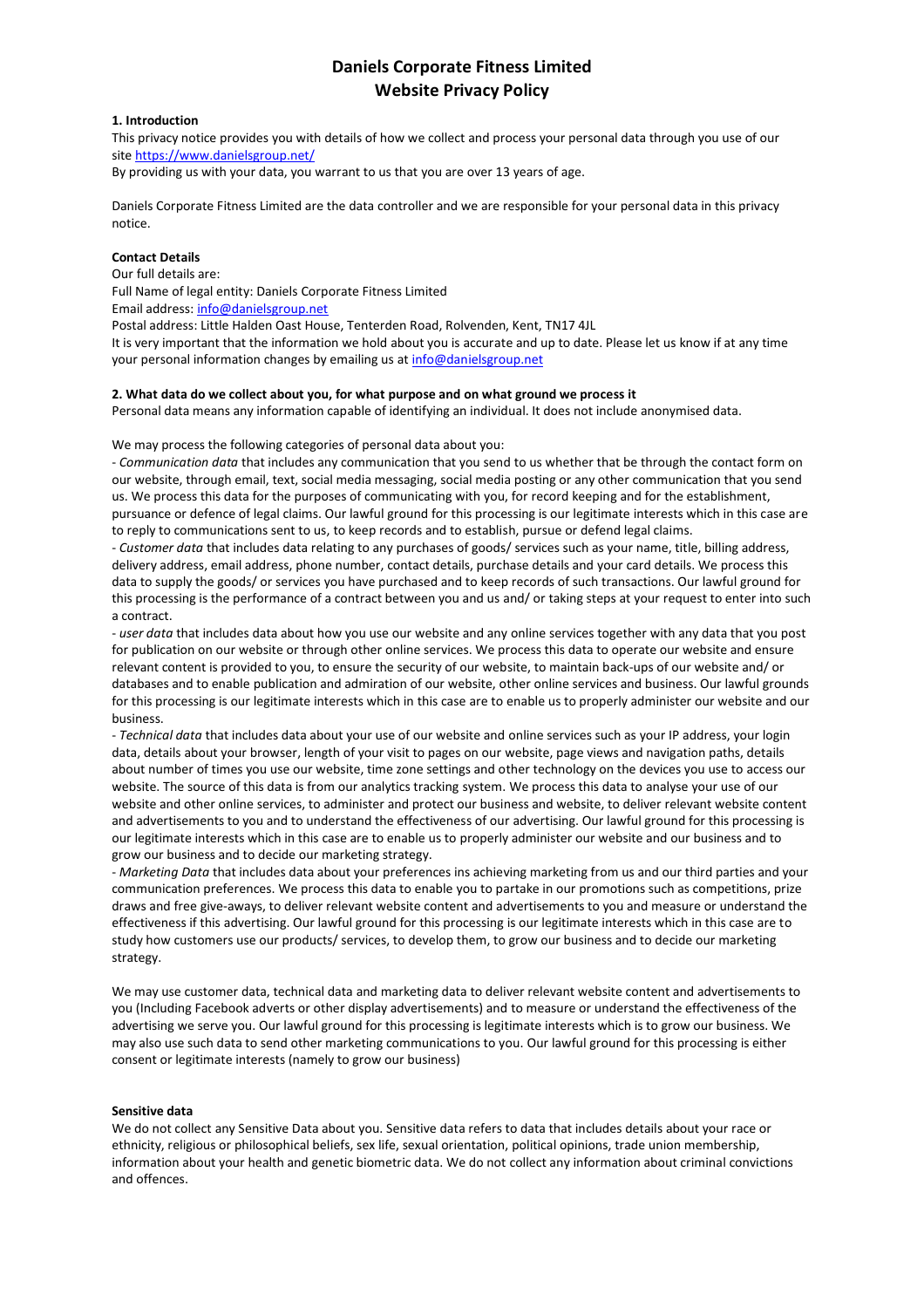## **Daniels Corporate Fitness Limited Website Privacy Policy**

## **1. Introduction**

This privacy notice provides you with details of how we collect and process your personal data through you use of our site <https://www.danielsgroup.net/>

By providing us with your data, you warrant to us that you are over 13 years of age.

Daniels Corporate Fitness Limited are the data controller and we are responsible for your personal data in this privacy notice.

### **Contact Details**

Our full details are:

Full Name of legal entity: Daniels Corporate Fitness Limited

Email address: [info@danielsgroup.net](mailto:info@danielsgroup.net)

Postal address: Little Halden Oast House, Tenterden Road, Rolvenden, Kent, TN17 4JL

It is very important that the information we hold about you is accurate and up to date. Please let us know if at any time your personal information changes by emailing us at [info@danielsgroup.net](http://infoadanielsgroup.net/)

#### **2. What data do we collect about you, for what purpose and on what ground we process it**

Personal data means any information capable of identifying an individual. It does not include anonymised data.

We may process the following categories of personal data about you:

- *Communication data* that includes any communication that you send to us whether that be through the contact form on our website, through email, text, social media messaging, social media posting or any other communication that you send us. We process this data for the purposes of communicating with you, for record keeping and for the establishment, pursuance or defence of legal claims. Our lawful ground for this processing is our legitimate interests which in this case are to reply to communications sent to us, to keep records and to establish, pursue or defend legal claims.

- *Customer data* that includes data relating to any purchases of goods/ services such as your name, title, billing address, delivery address, email address, phone number, contact details, purchase details and your card details. We process this data to supply the goods/ or services you have purchased and to keep records of such transactions. Our lawful ground for this processing is the performance of a contract between you and us and/ or taking steps at your request to enter into such a contract.

- *user data* that includes data about how you use our website and any online services together with any data that you post for publication on our website or through other online services. We process this data to operate our website and ensure relevant content is provided to you, to ensure the security of our website, to maintain back-ups of our website and/ or databases and to enable publication and admiration of our website, other online services and business. Our lawful grounds for this processing is our legitimate interests which in this case are to enable us to properly administer our website and our business.

- *Technical data* that includes data about your use of our website and online services such as your IP address, your login data, details about your browser, length of your visit to pages on our website, page views and navigation paths, details about number of times you use our website, time zone settings and other technology on the devices you use to access our website. The source of this data is from our analytics tracking system. We process this data to analyse your use of our website and other online services, to administer and protect our business and website, to deliver relevant website content and advertisements to you and to understand the effectiveness of our advertising. Our lawful ground for this processing is our legitimate interests which in this case are to enable us to properly administer our website and our business and to grow our business and to decide our marketing strategy.

- *Marketing Data* that includes data about your preferences ins achieving marketing from us and our third parties and your communication preferences. We process this data to enable you to partake in our promotions such as competitions, prize draws and free give-aways, to deliver relevant website content and advertisements to you and measure or understand the effectiveness if this advertising. Our lawful ground for this processing is our legitimate interests which in this case are to study how customers use our products/ services, to develop them, to grow our business and to decide our marketing strategy.

We may use customer data, technical data and marketing data to deliver relevant website content and advertisements to you (Including Facebook adverts or other display advertisements) and to measure or understand the effectiveness of the advertising we serve you. Our lawful ground for this processing is legitimate interests which is to grow our business. We may also use such data to send other marketing communications to you. Our lawful ground for this processing is either consent or legitimate interests (namely to grow our business)

#### **Sensitive data**

We do not collect any Sensitive Data about you. Sensitive data refers to data that includes details about your race or ethnicity, religious or philosophical beliefs, sex life, sexual orientation, political opinions, trade union membership, information about your health and genetic biometric data. We do not collect any information about criminal convictions and offences.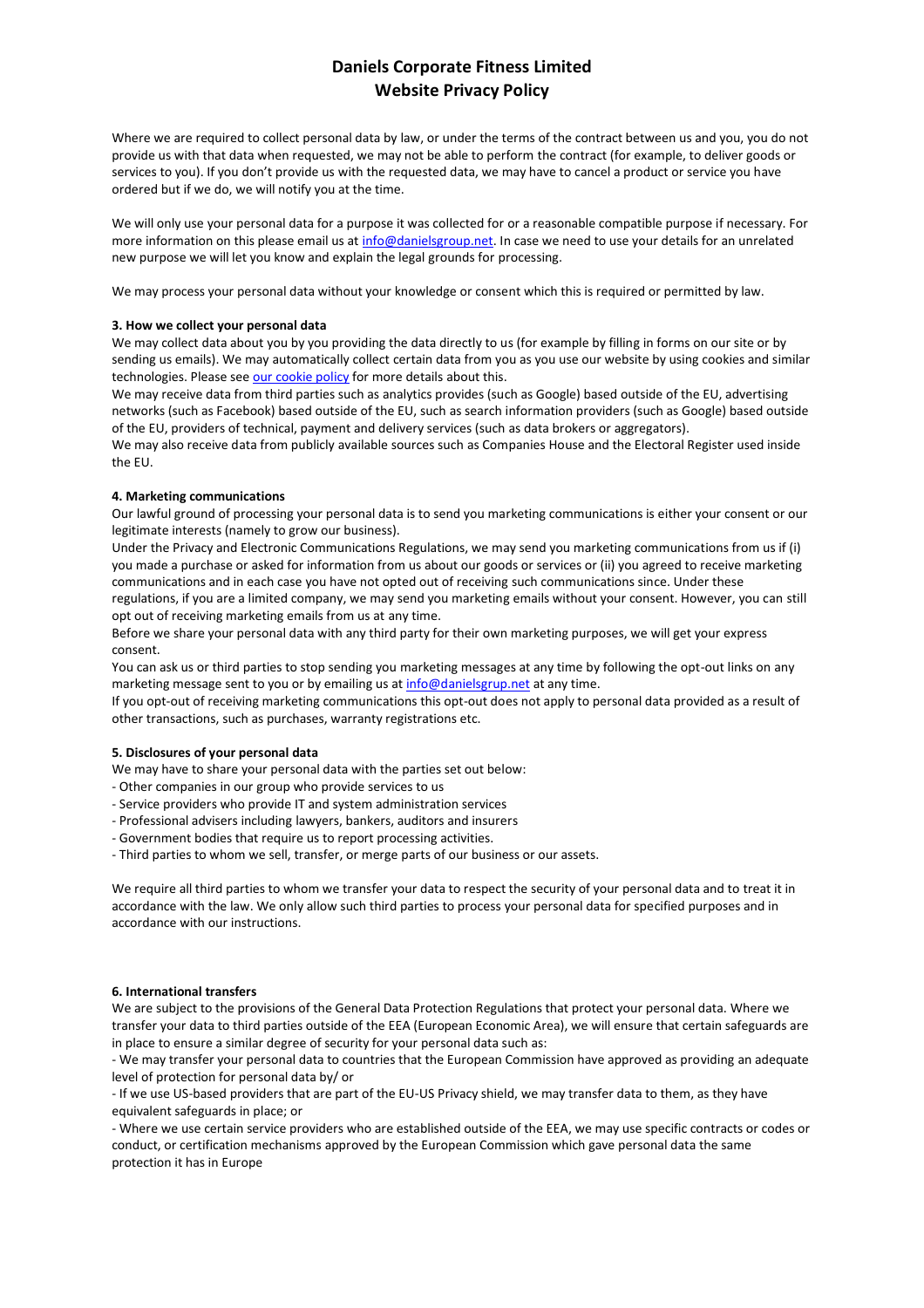# **Daniels Corporate Fitness Limited Website Privacy Policy**

Where we are required to collect personal data by law, or under the terms of the contract between us and you, you do not provide us with that data when requested, we may not be able to perform the contract (for example, to deliver goods or services to you). If you don't provide us with the requested data, we may have to cancel a product or service you have ordered but if we do, we will notify you at the time.

We will only use your personal data for a purpose it was collected for or a reasonable compatible purpose if necessary. For more information on this please email us at [info@danielsgroup.net.](mailto:info@danielsgroup.net) In case we need to use your details for an unrelated new purpose we will let you know and explain the legal grounds for processing.

We may process your personal data without your knowledge or consent which this is required or permitted by law.

## **3. How we collect your personal data**

We may collect data about you by you providing the data directly to us (for example by filling in forms on our site or by sending us emails). We may automatically collect certain data from you as you use our website by using cookies and similar technologies. Please see [our cookie policy](https://9442b9d9-03dc-4d7c-bccc-0e75379bd6d4.filesusr.com/ugd/db8bbf_23826bc5db7b4203bac6ef77fe7da899.pdf) for more details about this.

We may receive data from third parties such as analytics provides (such as Google) based outside of the EU, advertising networks (such as Facebook) based outside of the EU, such as search information providers (such as Google) based outside of the EU, providers of technical, payment and delivery services (such as data brokers or aggregators).

We may also receive data from publicly available sources such as Companies House and the Electoral Register used inside the EU.

### **4. Marketing communications**

Our lawful ground of processing your personal data is to send you marketing communications is either your consent or our legitimate interests (namely to grow our business).

Under the Privacy and Electronic Communications Regulations, we may send you marketing communications from us if (i) you made a purchase or asked for information from us about our goods or services or (ii) you agreed to receive marketing communications and in each case you have not opted out of receiving such communications since. Under these regulations, if you are a limited company, we may send you marketing emails without your consent. However, you can still

opt out of receiving marketing emails from us at any time.

Before we share your personal data with any third party for their own marketing purposes, we will get your express consent.

You can ask us or third parties to stop sending you marketing messages at any time by following the opt-out links on any marketing message sent to you or by emailing us at [info@danielsgrup.net](mailto:info@danielsgrup.net) at any time.

If you opt-out of receiving marketing communications this opt-out does not apply to personal data provided as a result of other transactions, such as purchases, warranty registrations etc.

## **5. Disclosures of your personal data**

We may have to share your personal data with the parties set out below:

- Other companies in our group who provide services to us
- Service providers who provide IT and system administration services
- Professional advisers including lawyers, bankers, auditors and insurers
- Government bodies that require us to report processing activities.
- Third parties to whom we sell, transfer, or merge parts of our business or our assets.

We require all third parties to whom we transfer your data to respect the security of your personal data and to treat it in accordance with the law. We only allow such third parties to process your personal data for specified purposes and in accordance with our instructions.

## **6. International transfers**

We are subject to the provisions of the General Data Protection Regulations that protect your personal data. Where we transfer your data to third parties outside of the EEA (European Economic Area), we will ensure that certain safeguards are in place to ensure a similar degree of security for your personal data such as:

- We may transfer your personal data to countries that the European Commission have approved as providing an adequate level of protection for personal data by/ or

- If we use US-based providers that are part of the EU-US Privacy shield, we may transfer data to them, as they have equivalent safeguards in place; or

- Where we use certain service providers who are established outside of the EEA, we may use specific contracts or codes or conduct, or certification mechanisms approved by the European Commission which gave personal data the same protection it has in Europe